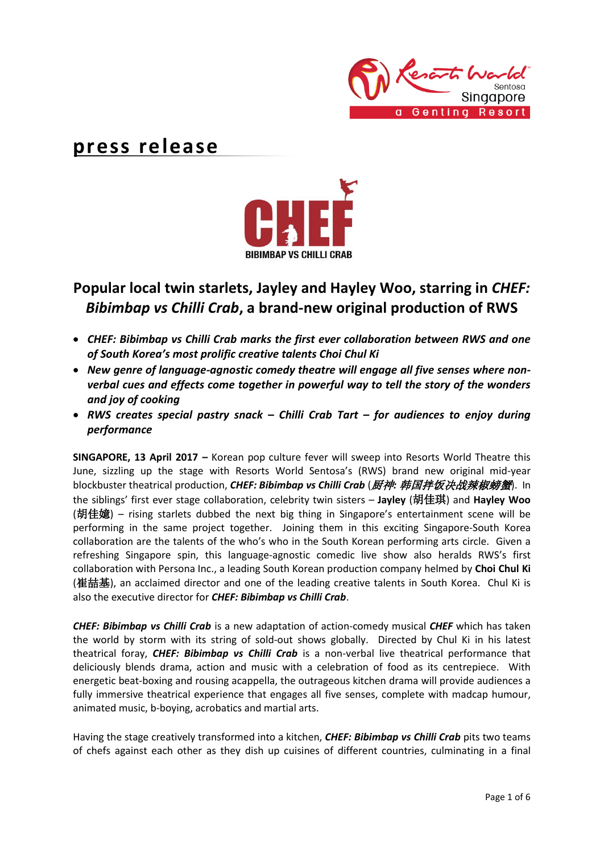

# **press release**



# **Popular local twin starlets, Jayley and Hayley Woo, starring in** *CHEF: Bibimbap vs Chilli Crab***, a brand-new original production of RWS**

- *CHEF: Bibimbap vs Chilli Crab marks the first ever collaboration between RWS and one of South Korea's most prolific creative talents Choi Chul Ki*
- *New genre of language-agnostic comedy theatre will engage all five senses where nonverbal cues and effects come together in powerful way to tell the story of the wonders and joy of cooking*
- *RWS creates special pastry snack – Chilli Crab Tart – for audiences to enjoy during performance*

**SINGAPORE, 13 April 2017 –** Korean pop culture fever will sweep into Resorts World Theatre this June, sizzling up the stage with Resorts World Sentosa's (RWS) brand new original mid-year blockbuster theatrical production, *CHEF: Bibimbap vs Chilli Crab* (厨神*:* 韩国拌饭决战辣椒螃蟹). In the siblings' first ever stage collaboration, celebrity twin sisters – **Jayley** (胡佳琪) and **Hayley Woo** (胡佳嬑) – rising starlets dubbed the next big thing in Singapore's entertainment scene will be performing in the same project together. Joining them in this exciting Singapore-South Korea collaboration are the talents of the who's who in the South Korean performing arts circle. Given a refreshing Singapore spin, this language-agnostic comedic live show also heralds RWS's first collaboration with Persona Inc., a leading South Korean production company helmed by **Choi Chul Ki** (崔喆基), an acclaimed director and one of the leading creative talents in South Korea. Chul Ki is also the executive director for *CHEF: Bibimbap vs Chilli Crab*.

*CHEF: Bibimbap vs Chilli Crab* is a new adaptation of action-comedy musical *CHEF* which has taken the world by storm with its string of sold-out shows globally. Directed by Chul Ki in his latest theatrical foray, *CHEF: Bibimbap vs Chilli Crab* is a non-verbal live theatrical performance that deliciously blends drama, action and music with a celebration of food as its centrepiece. With energetic beat-boxing and rousing acappella, the outrageous kitchen drama will provide audiences a fully immersive theatrical experience that engages all five senses, complete with madcap humour, animated music, b-boying, acrobatics and martial arts.

Having the stage creatively transformed into a kitchen, *CHEF: Bibimbap vs Chilli Crab* pits two teams of chefs against each other as they dish up cuisines of different countries, culminating in a final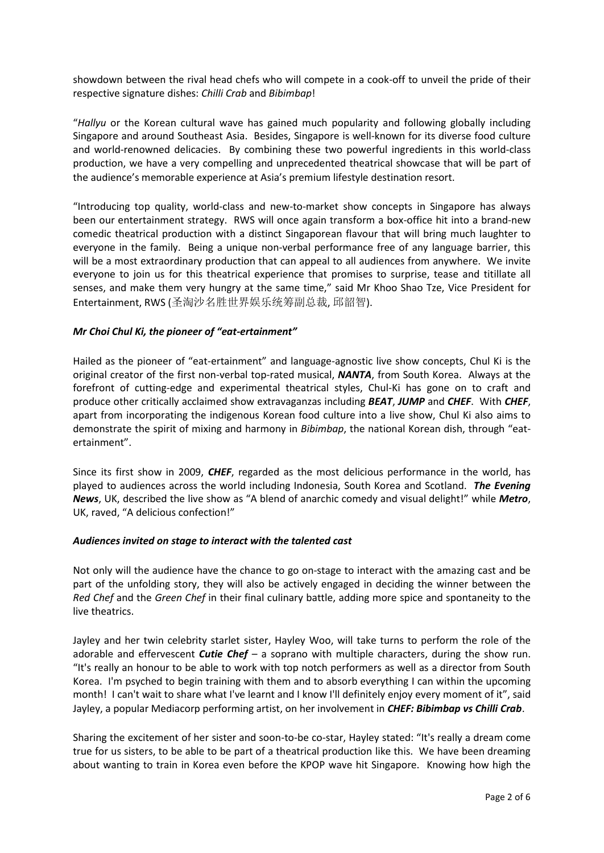showdown between the rival head chefs who will compete in a cook-off to unveil the pride of their respective signature dishes: *Chilli Crab* and *Bibimbap*!

"*Hallyu* or the Korean cultural wave has gained much popularity and following globally including Singapore and around Southeast Asia. Besides, Singapore is well-known for its diverse food culture and world-renowned delicacies. By combining these two powerful ingredients in this world-class production, we have a very compelling and unprecedented theatrical showcase that will be part of the audience's memorable experience at Asia's premium lifestyle destination resort.

"Introducing top quality, world-class and new-to-market show concepts in Singapore has always been our entertainment strategy. RWS will once again transform a box-office hit into a brand-new comedic theatrical production with a distinct Singaporean flavour that will bring much laughter to everyone in the family. Being a unique non-verbal performance free of any language barrier, this will be a most extraordinary production that can appeal to all audiences from anywhere. We invite everyone to join us for this theatrical experience that promises to surprise, tease and titillate all senses, and make them very hungry at the same time," said Mr Khoo Shao Tze, Vice President for Entertainment, RWS (圣淘沙名胜世界娱乐统筹副总裁, 邱韶智).

### *Mr Choi Chul Ki, the pioneer of "eat-ertainment"*

Hailed as the pioneer of "eat-ertainment" and language-agnostic live show concepts, Chul Ki is the original creator of the first non-verbal top-rated musical, *NANTA*, from South Korea. Always at the forefront of cutting-edge and experimental theatrical styles, Chul-Ki has gone on to craft and produce other critically acclaimed show extravaganzas including *BEAT*, *JUMP* and *CHEF*. With *CHEF*, apart from incorporating the indigenous Korean food culture into a live show, Chul Ki also aims to demonstrate the spirit of mixing and harmony in *Bibimbap*, the national Korean dish, through "eatertainment".

Since its first show in 2009, *CHEF*, regarded as the most delicious performance in the world, has played to audiences across the world including Indonesia, South Korea and Scotland. *The Evening News*, UK, described the live show as "A blend of anarchic comedy and visual delight!" while *Metro*, UK, raved, "A delicious confection!"

#### *Audiences invited on stage to interact with the talented cast*

Not only will the audience have the chance to go on-stage to interact with the amazing cast and be part of the unfolding story, they will also be actively engaged in deciding the winner between the *Red Chef* and the *Green Chef* in their final culinary battle, adding more spice and spontaneity to the live theatrics.

Jayley and her twin celebrity starlet sister, Hayley Woo, will take turns to perform the role of the adorable and effervescent *Cutie Chef* – a soprano with multiple characters, during the show run. "It's really an honour to be able to work with top notch performers as well as a director from South Korea. I'm psyched to begin training with them and to absorb everything I can within the upcoming month! I can't wait to share what I've learnt and I know I'll definitely enjoy every moment of it", said Jayley, a popular Mediacorp performing artist, on her involvement in *CHEF: Bibimbap vs Chilli Crab*.

Sharing the excitement of her sister and soon-to-be co-star, Hayley stated: "It's really a dream come true for us sisters, to be able to be part of a theatrical production like this. We have been dreaming about wanting to train in Korea even before the KPOP wave hit Singapore. Knowing how high the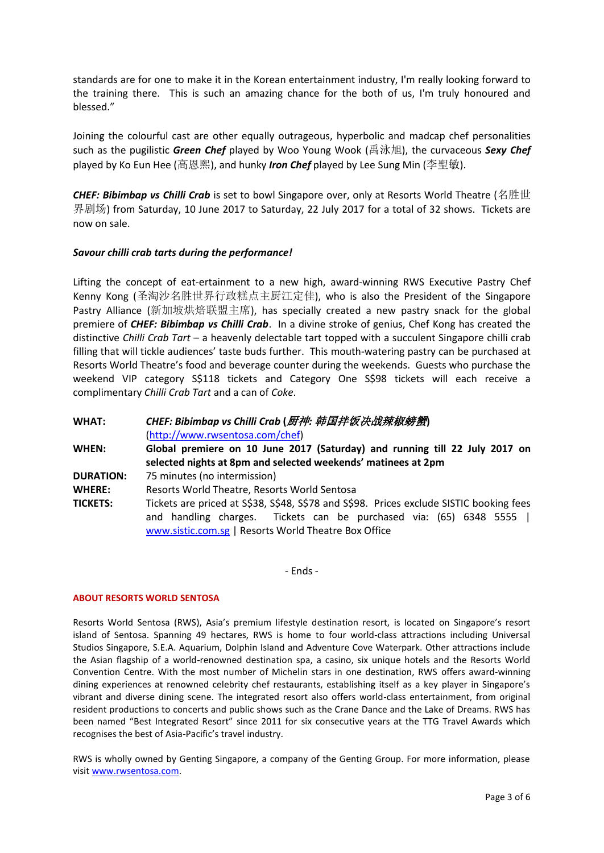standards are for one to make it in the Korean entertainment industry, I'm really looking forward to the training there. This is such an amazing chance for the both of us, I'm truly honoured and blessed."

Joining the colourful cast are other equally outrageous, hyperbolic and madcap chef personalities such as the pugilistic *Green Chef* played by Woo Young Wook (禹泳旭), the curvaceous *Sexy Chef* played by Ko Eun Hee (高恩熙), and hunky *Iron Chef* played by Lee Sung Min (李聖敏).

*CHEF: Bibimbap vs Chilli Crab* is set to bowl Singapore over, only at Resorts World Theatre (名胜世 界剧场) from Saturday, 10 June 2017 to Saturday, 22 July 2017 for a total of 32 shows. Tickets are now on sale.

#### *Savour chilli crab tarts during the performance!*

Lifting the concept of eat-ertainment to a new high, award-winning RWS Executive Pastry Chef Kenny Kong (圣淘沙名胜世界行政糕点主厨江定佳), who is also the President of the Singapore Pastry Alliance (新加坡烘焙联盟主席), has specially created a new pastry snack for the global premiere of *CHEF: Bibimbap vs Chilli Crab*. In a divine stroke of genius, Chef Kong has created the distinctive *Chilli Crab Tart* – a heavenly delectable tart topped with a succulent Singapore chilli crab filling that will tickle audiences' taste buds further. This mouth-watering pastry can be purchased at Resorts World Theatre's food and beverage counter during the weekends. Guests who purchase the weekend VIP category S\$118 tickets and Category One S\$98 tickets will each receive a complimentary *Chilli Crab Tart* and a can of *Coke*.

**WHAT:** *CHEF: Bibimbap vs Chilli Crab* **(**厨神*:* 韩国拌饭决战辣椒螃蟹**)** [\(http://www.rwsentosa.com/chef\)](http://www.rwsentosa.com/chef) **WHEN: Global premiere on 10 June 2017 (Saturday) and running till 22 July 2017 on selected nights at 8pm and selected weekends' matinees at 2pm DURATION:** 75 minutes (no intermission) **WHERE:** Resorts World Theatre, Resorts World Sentosa **TICKETS:** Tickets are priced at S\$38, S\$48, S\$78 and S\$98. Prices exclude SISTIC booking fees and handling charges. Tickets can be purchased via: (65) 6348 5555 | [www.sistic.com.sg](http://www.sistic.com.sg/) | Resorts World Theatre Box Office

- Ends -

#### **ABOUT RESORTS WORLD SENTOSA**

Resorts World Sentosa (RWS), Asia's premium lifestyle destination resort, is located on Singapore's resort island of Sentosa. Spanning 49 hectares, RWS is home to four world-class attractions including Universal Studios Singapore, S.E.A. Aquarium, Dolphin Island and Adventure Cove Waterpark. Other attractions include the Asian flagship of a world-renowned destination spa, a casino, six unique hotels and the Resorts World Convention Centre. With the most number of Michelin stars in one destination, RWS offers award-winning dining experiences at renowned celebrity chef restaurants, establishing itself as a key player in Singapore's vibrant and diverse dining scene. The integrated resort also offers world-class entertainment, from original resident productions to concerts and public shows such as the Crane Dance and the Lake of Dreams. RWS has been named "Best Integrated Resort" since 2011 for six consecutive years at the TTG Travel Awards which recognises the best of Asia-Pacific's travel industry.

RWS is wholly owned by Genting Singapore, a company of the Genting Group. For more information, please visi[t www.rwsentosa.com.](http://www.rwsentosa.com/)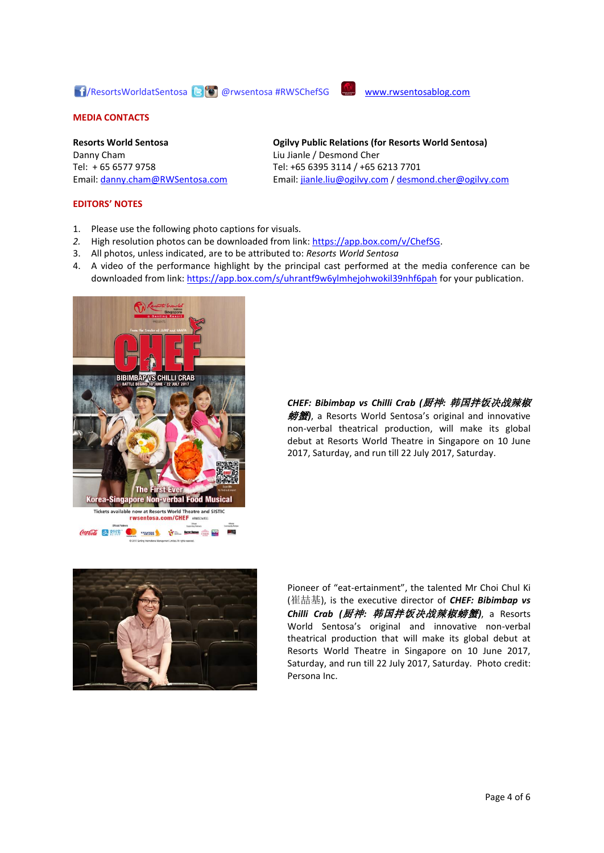## 17/ResortsWorldatSentosa (B o @rwsentosa #RWSChefSG [www.rwsentosablog.com](http://www.rwsentosablog.com/)



#### **MEDIA CONTACTS**

**Resorts World Sentosa** Danny Cham Tel: + 65 6577 9758 Email: [danny.cham@RWSentosa.com](mailto:danny.cham@RWSentosa.com)

#### **EDITORS' NOTES**

- **Ogilvy Public Relations (for Resorts World Sentosa)** Liu Jianle / Desmond Cher Tel: +65 6395 3114 / +65 6213 7701 Email[: jianle.liu@ogilvy.com](mailto:jianle.liu@ogilvy.com) / [desmond.cher@ogilvy.com](mailto:desmond.cher@ogilvy.com)
- 1. Please use the following photo captions for visuals.
- *2.* High resolution photos can be downloaded from link: [https://app.box.com/v/ChefSG.](https://app.box.com/v/ChefSG)
- 3. All photos, unless indicated, are to be attributed to: *Resorts World Sentosa*
- 4. A video of the performance highlight by the principal cast performed at the media conference can be downloaded from link:<https://app.box.com/s/uhrantf9w6ylmhejohwokil39nhf6pah> for your publication.



*CHEF: Bibimbap vs Chilli Crab (*厨神*:* 韩国拌饭决战辣椒 螃蟹*)*, a Resorts World Sentosa's original and innovative non-verbal theatrical production, will make its global debut at Resorts World Theatre in Singapore on 10 June 2017, Saturday, and run till 22 July 2017, Saturday.



Pioneer of "eat-ertainment", the talented Mr Choi Chul Ki (崔喆基), is the executive director of *CHEF: Bibimbap vs Chilli Crab (*厨神*:* 韩国拌饭决战辣椒螃蟹*)*, a Resorts World Sentosa's original and innovative non-verbal theatrical production that will make its global debut at Resorts World Theatre in Singapore on 10 June 2017, Saturday, and run till 22 July 2017, Saturday. Photo credit: Persona Inc.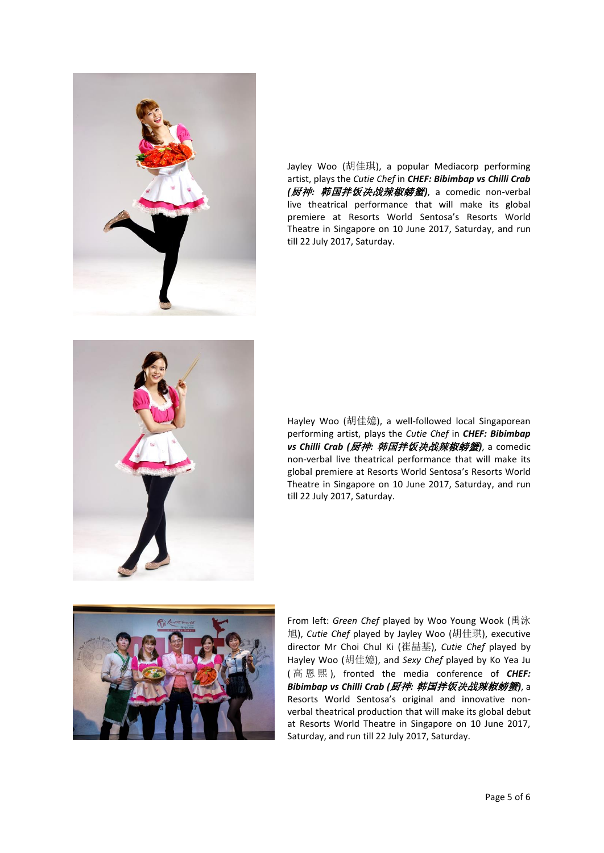

Jayley Woo (胡佳琪), a popular Mediacorp performing artist, plays the *Cutie Chef* in *CHEF: Bibimbap vs Chilli Crab (*厨神*:* 韩国拌饭决战辣椒螃蟹*)*, a comedic non-verbal live theatrical performance that will make its global premiere at Resorts World Sentosa's Resorts World Theatre in Singapore on 10 June 2017, Saturday, and run till 22 July 2017, Saturday.



Hayley Woo (胡佳嬑), a well-followed local Singaporean performing artist, plays the *Cutie Chef* in *CHEF: Bibimbap vs Chilli Crab (*厨神*:* 韩国拌饭决战辣椒螃蟹*)*, a comedic non-verbal live theatrical performance that will make its global premiere at Resorts World Sentosa's Resorts World Theatre in Singapore on 10 June 2017, Saturday, and run till 22 July 2017, Saturday.



From left: *Green Chef* played by Woo Young Wook (禹泳 旭), *Cutie Chef* played by Jayley Woo (胡佳琪), executive director Mr Choi Chul Ki (崔喆基), *Cutie Chef* played by Hayley Woo (胡佳嬑), and *Sexy Chef* played by Ko Yea Ju ( 高恩熙 ), fronted the media conference of *CHEF: Bibimbap vs Chilli Crab (*厨神*:* 韩国拌饭决战辣椒螃蟹*)*, a Resorts World Sentosa's original and innovative nonverbal theatrical production that will make its global debut at Resorts World Theatre in Singapore on 10 June 2017, Saturday, and run till 22 July 2017, Saturday.